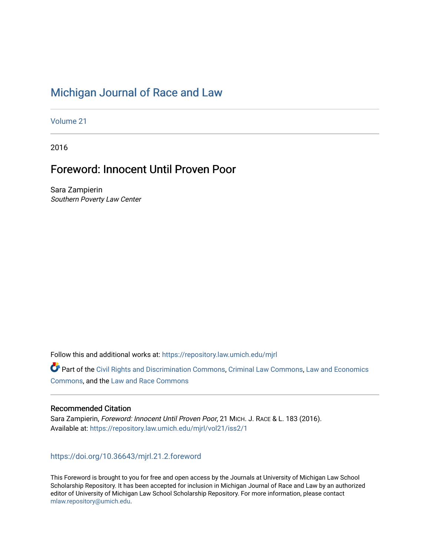# [Michigan Journal of Race and Law](https://repository.law.umich.edu/mjrl)

[Volume 21](https://repository.law.umich.edu/mjrl/vol21)

2016

# Foreword: Innocent Until Proven Poor

Sara Zampierin Southern Poverty Law Center

Follow this and additional works at: [https://repository.law.umich.edu/mjrl](https://repository.law.umich.edu/mjrl?utm_source=repository.law.umich.edu%2Fmjrl%2Fvol21%2Fiss2%2F1&utm_medium=PDF&utm_campaign=PDFCoverPages) 

Part of the [Civil Rights and Discrimination Commons,](http://network.bepress.com/hgg/discipline/585?utm_source=repository.law.umich.edu%2Fmjrl%2Fvol21%2Fiss2%2F1&utm_medium=PDF&utm_campaign=PDFCoverPages) [Criminal Law Commons,](http://network.bepress.com/hgg/discipline/912?utm_source=repository.law.umich.edu%2Fmjrl%2Fvol21%2Fiss2%2F1&utm_medium=PDF&utm_campaign=PDFCoverPages) [Law and Economics](http://network.bepress.com/hgg/discipline/612?utm_source=repository.law.umich.edu%2Fmjrl%2Fvol21%2Fiss2%2F1&utm_medium=PDF&utm_campaign=PDFCoverPages) [Commons](http://network.bepress.com/hgg/discipline/612?utm_source=repository.law.umich.edu%2Fmjrl%2Fvol21%2Fiss2%2F1&utm_medium=PDF&utm_campaign=PDFCoverPages), and the [Law and Race Commons](http://network.bepress.com/hgg/discipline/1300?utm_source=repository.law.umich.edu%2Fmjrl%2Fvol21%2Fiss2%2F1&utm_medium=PDF&utm_campaign=PDFCoverPages) 

## Recommended Citation

Sara Zampierin, Foreword: Innocent Until Proven Poor, 21 MICH. J. RACE & L. 183 (2016). Available at: [https://repository.law.umich.edu/mjrl/vol21/iss2/1](https://repository.law.umich.edu/mjrl/vol21/iss2/1?utm_source=repository.law.umich.edu%2Fmjrl%2Fvol21%2Fiss2%2F1&utm_medium=PDF&utm_campaign=PDFCoverPages) 

<https://doi.org/10.36643/mjrl.21.2.foreword>

This Foreword is brought to you for free and open access by the Journals at University of Michigan Law School Scholarship Repository. It has been accepted for inclusion in Michigan Journal of Race and Law by an authorized editor of University of Michigan Law School Scholarship Repository. For more information, please contact [mlaw.repository@umich.edu.](mailto:mlaw.repository@umich.edu)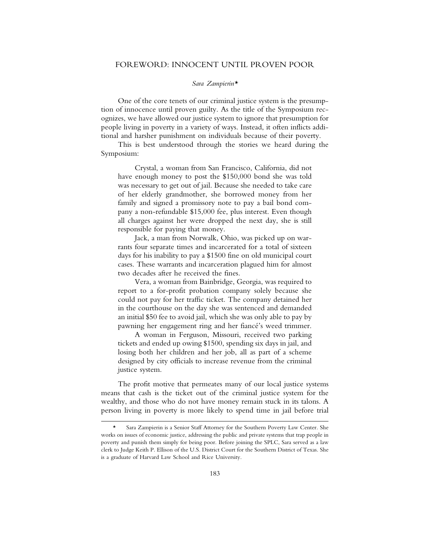### FOREWORD: INNOCENT UNTIL PROVEN POOR

#### *Sara Zampierin\**

One of the core tenets of our criminal justice system is the presumption of innocence until proven guilty. As the title of the Symposium recognizes, we have allowed our justice system to ignore that presumption for people living in poverty in a variety of ways. Instead, it often inflicts additional and harsher punishment on individuals because of their poverty.

This is best understood through the stories we heard during the Symposium:

Crystal, a woman from San Francisco, California, did not have enough money to post the \$150,000 bond she was told was necessary to get out of jail. Because she needed to take care of her elderly grandmother, she borrowed money from her family and signed a promissory note to pay a bail bond company a non-refundable \$15,000 fee, plus interest. Even though all charges against her were dropped the next day, she is still responsible for paying that money.

Jack, a man from Norwalk, Ohio, was picked up on warrants four separate times and incarcerated for a total of sixteen days for his inability to pay a \$1500 fine on old municipal court cases. These warrants and incarceration plagued him for almost two decades after he received the fines.

Vera, a woman from Bainbridge, Georgia, was required to report to a for-profit probation company solely because she could not pay for her traffic ticket. The company detained her in the courthouse on the day she was sentenced and demanded an initial \$50 fee to avoid jail, which she was only able to pay by pawning her engagement ring and her fiancé's weed trimmer.

A woman in Ferguson, Missouri, received two parking tickets and ended up owing \$1500, spending six days in jail, and losing both her children and her job, all as part of a scheme designed by city officials to increase revenue from the criminal justice system.

The profit motive that permeates many of our local justice systems means that cash is the ticket out of the criminal justice system for the wealthy, and those who do not have money remain stuck in its talons. A person living in poverty is more likely to spend time in jail before trial

Sara Zampierin is a Senior Staff Attorney for the Southern Poverty Law Center. She works on issues of economic justice, addressing the public and private systems that trap people in poverty and punish them simply for being poor. Before joining the SPLC, Sara served as a law clerk to Judge Keith P. Ellison of the U.S. District Court for the Southern District of Texas. She is a graduate of Harvard Law School and Rice University.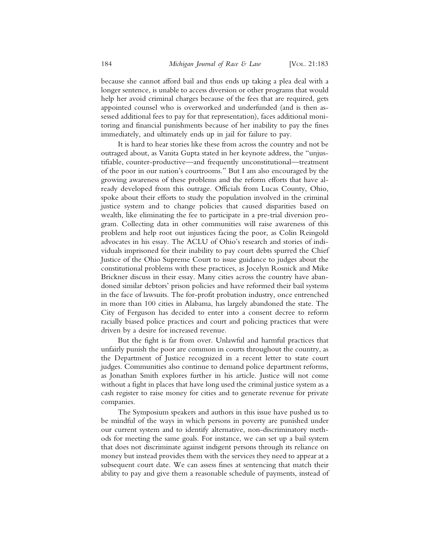because she cannot afford bail and thus ends up taking a plea deal with a longer sentence, is unable to access diversion or other programs that would help her avoid criminal charges because of the fees that are required, gets appointed counsel who is overworked and underfunded (and is then assessed additional fees to pay for that representation), faces additional monitoring and financial punishments because of her inability to pay the fines immediately, and ultimately ends up in jail for failure to pay.

It is hard to hear stories like these from across the country and not be outraged about, as Vanita Gupta stated in her keynote address, the "unjustifiable, counter-productive—and frequently unconstitutional—treatment of the poor in our nation's courtrooms." But I am also encouraged by the growing awareness of these problems and the reform efforts that have already developed from this outrage. Officials from Lucas County, Ohio, spoke about their efforts to study the population involved in the criminal justice system and to change policies that caused disparities based on wealth, like eliminating the fee to participate in a pre-trial diversion program. Collecting data in other communities will raise awareness of this problem and help root out injustices facing the poor, as Colin Reingold advocates in his essay. The ACLU of Ohio's research and stories of individuals imprisoned for their inability to pay court debts spurred the Chief Justice of the Ohio Supreme Court to issue guidance to judges about the constitutional problems with these practices, as Jocelyn Rosnick and Mike Brickner discuss in their essay. Many cities across the country have abandoned similar debtors' prison policies and have reformed their bail systems in the face of lawsuits. The for-profit probation industry, once entrenched in more than 100 cities in Alabama, has largely abandoned the state. The City of Ferguson has decided to enter into a consent decree to reform racially biased police practices and court and policing practices that were driven by a desire for increased revenue.

But the fight is far from over. Unlawful and harmful practices that unfairly punish the poor are common in courts throughout the country, as the Department of Justice recognized in a recent letter to state court judges. Communities also continue to demand police department reforms, as Jonathan Smith explores further in his article. Justice will not come without a fight in places that have long used the criminal justice system as a cash register to raise money for cities and to generate revenue for private companies.

The Symposium speakers and authors in this issue have pushed us to be mindful of the ways in which persons in poverty are punished under our current system and to identify alternative, non-discriminatory methods for meeting the same goals. For instance, we can set up a bail system that does not discriminate against indigent persons through its reliance on money but instead provides them with the services they need to appear at a subsequent court date. We can assess fines at sentencing that match their ability to pay and give them a reasonable schedule of payments, instead of